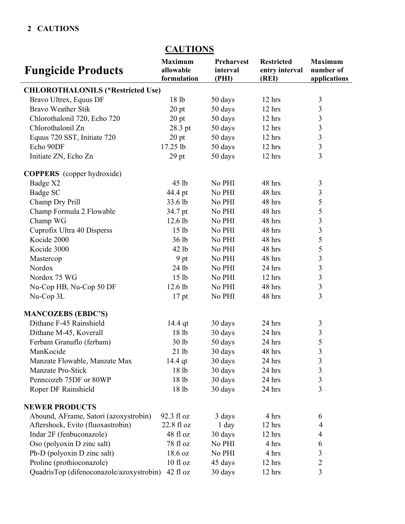## **2 CAUTIONS**

|                                          | <u><b>CITUTIO</b></u>                      |                                        |                                              |                                             |
|------------------------------------------|--------------------------------------------|----------------------------------------|----------------------------------------------|---------------------------------------------|
| <b>Fungicide Products</b>                | <b>Maximum</b><br>allowable<br>formulation | <b>Preharvest</b><br>interval<br>(PHI) | <b>Restricted</b><br>entry interval<br>(REI) | <b>Maximum</b><br>number of<br>applications |
| <b>CHLOROTHALONILS (*Restricted Use)</b> |                                            |                                        |                                              |                                             |
| Bravo Ultrex, Equus DF                   | 18 lb                                      | 50 days                                | $12$ hrs                                     | $\mathfrak{Z}$                              |
| <b>Bravo Weather Stik</b>                | $20$ pt                                    | 50 days                                | 12 hrs                                       | $\overline{\mathbf{3}}$                     |
| Chlorothalonil 720, Echo 720             | $20$ pt                                    | 50 days                                | 12 hrs                                       | $\overline{\mathbf{3}}$                     |
| Chlorothalonil Zn                        | 28.3 pt                                    | 50 days                                | 12 hrs                                       |                                             |
| Equus 720 SST, Initiate 720              | $20$ pt                                    | 50 days                                | $12$ hrs                                     | $\frac{3}{3}$                               |
| Echo 90DF                                | 17.25 lb                                   | 50 days                                | 12 hrs                                       | $\overline{\mathbf{3}}$                     |
| Initiate ZN, Echo Zn                     | $29$ pt                                    | 50 days                                | 12 hrs                                       | $\overline{3}$                              |
| <b>COPPERS</b> (copper hydroxide)        |                                            |                                        |                                              |                                             |
| Badge X2                                 | 45 lb                                      | No PHI                                 | 48 hrs                                       | $\mathfrak{Z}$                              |
| Badge SC                                 | 44.4 pt                                    | No PHI                                 | 48 hrs                                       | 3                                           |
| Champ Dry Prill                          | 33.6 lb                                    | No PHI                                 | 48 hrs                                       | 5                                           |
| Champ Formula 2 Flowable                 | 34.7 pt                                    | No PHI                                 | 48 hrs                                       | $\frac{5}{3}$                               |
| Champ WG                                 | 12.6 lb                                    | No PHI                                 | 48 hrs                                       |                                             |
| Cuprofix Ultra 40 Disperss               | 15 <sub>1b</sub>                           | No PHI                                 | 48 hrs                                       | $\overline{3}$                              |
| Kocide 2000                              | 36 lb                                      | No PHI                                 | 48 hrs                                       | 5                                           |
| Kocide 3000                              | 42 lb                                      | No PHI                                 | 48 hrs                                       | 5                                           |
| Mastercop                                | 9 pt                                       | No PHI                                 | 48 hrs                                       | $\frac{3}{3}$                               |
| Nordox                                   | 24 lb                                      | No PHI                                 | 24 hrs                                       |                                             |
| Nordox 75 WG                             | 15 <sub>1b</sub>                           | No PHI                                 | 12 hrs                                       | $\overline{\mathbf{3}}$                     |
| Nu-Cop HB, Nu-Cop 50 DF                  | 12.6 lb                                    | No PHI                                 | 48 hrs                                       | $\overline{\mathbf{3}}$                     |
| Nu-Cop 3L                                | $17$ pt                                    | No PHI                                 | 48 hrs                                       | $\overline{3}$                              |
| <b>MANCOZEBS (EBDC'S)</b>                |                                            |                                        |                                              |                                             |
| Dithane F-45 Rainshield                  | 14.4 qt                                    | 30 days                                | 24 hrs                                       | 3                                           |
| Dithane M-45, Koverall                   | 18 lb                                      | 30 days                                | 24 hrs                                       | $\overline{\mathbf{3}}$                     |
| Ferbam Granuflo (ferbam)                 | 30 lb                                      | 50 days                                | 24 hrs                                       | 5                                           |
| ManKocide                                | 21 lb                                      | 30 days                                | 48 hrs                                       | 3                                           |
| Manzate Flowable, Manzate Max            | 14.4 qt                                    | 30 days                                | 24 hrs                                       | 3                                           |
| Manzate Pro-Stick                        | 18 lb                                      | 30 days                                | 24 hrs                                       | $\overline{\mathbf{3}}$                     |
| Penncozeb 75DF or 80WP                   | 18 lb                                      | 30 days                                | 24 hrs                                       | $\overline{\mathbf{3}}$                     |
| Roper DF Rainshield                      | 18 lb                                      | 30 days                                | 24 hrs                                       | 3                                           |
| <b>NEWER PRODUCTS</b>                    |                                            |                                        |                                              |                                             |
| Abound, AFrame, Satori (azoxystrobin)    | 92.3 fl oz                                 | 3 days                                 | 4 hrs                                        | 6                                           |
| Aftershock, Evito (fluoxastrobin)        | 22.8 fl oz                                 | 1 day                                  | 12 hrs                                       | 4                                           |
| Indar 2F (fenbuconazole)                 | 48 fl oz                                   | 30 days                                | 12 hrs                                       | 4                                           |
| Oso (polyoxin D zinc salt)               | 78 fl oz                                   | No PHI                                 | 4 hrs                                        | 6                                           |
| Ph-D (polyoxin D zinc salt)              | 18.6 oz                                    | No PHI                                 | 4 hrs                                        | 3                                           |
| Proline (prothioconazole)                | 10 fl oz                                   | 45 days                                | 12 hrs                                       | $\overline{c}$                              |
| QuadrisTop (difenoconazole/azoxystrobin) | $42$ fl oz                                 | 30 days                                | 12 hrs                                       | 3                                           |

## **CAUTIONS**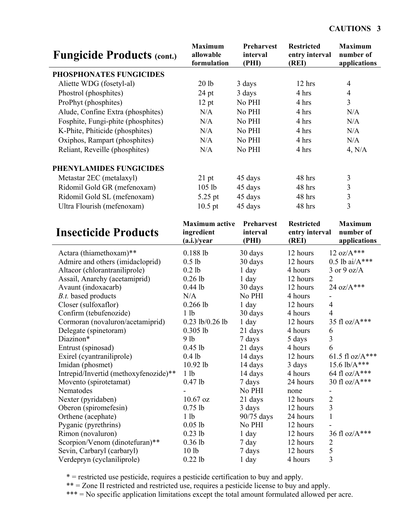| <b>Fungicide Products (cont.)</b>     | <b>Maximum</b><br>allowable<br>formulation         | Preharvest<br>interval<br>(PHI) | <b>Restricted</b><br>entry interval<br>(REI) | <b>Maximum</b><br>number of<br>applications |
|---------------------------------------|----------------------------------------------------|---------------------------------|----------------------------------------------|---------------------------------------------|
| PHOSPHONATES FUNGICIDES               |                                                    |                                 |                                              |                                             |
| Aliette WDG (fosetyl-al)              | 20 <sub>1b</sub>                                   | 3 days                          | 12 hrs                                       | $\overline{4}$                              |
| Phostrol (phosphites)                 | $24$ pt                                            | 3 days                          | 4 hrs                                        | $\overline{4}$                              |
| ProPhyt (phosphites)                  | 12 pt                                              | No PHI                          | 4 hrs                                        | $\overline{3}$                              |
| Alude, Confine Extra (phosphites)     | N/A                                                | No PHI                          | 4 hrs                                        | N/A                                         |
|                                       | N/A                                                | No PHI                          | 4 hrs                                        | N/A                                         |
| Fosphite, Fungi-phite (phosphites)    |                                                    | No PHI                          |                                              |                                             |
| K-Phite, Phiticide (phosphites)       | N/A                                                |                                 | 4 hrs                                        | N/A                                         |
| Oxiphos, Rampart (phosphites)         | N/A                                                | No PHI                          | 4 hrs                                        | N/A                                         |
| Reliant, Reveille (phosphites)        | N/A                                                | No PHI                          | 4 hrs                                        | 4, N/A                                      |
| PHENYLAMIDES FUNGICIDES               |                                                    |                                 |                                              |                                             |
| Metastar 2EC (metalaxyl)              | $21$ pt                                            | 45 days                         | 48 hrs                                       | 3                                           |
| Ridomil Gold GR (mefenoxam)           | 105 lb                                             | 45 days                         | 48 hrs                                       | $\mathfrak{Z}$                              |
| Ridomil Gold SL (mefenoxam)           | 5.25 pt                                            | 45 days                         | 48 hrs                                       | $\overline{\mathbf{3}}$                     |
| Ultra Flourish (mefenoxam)            | $10.5$ pt                                          | 45 days                         | 48 hrs                                       | $\overline{3}$                              |
| <b>Insecticide Products</b>           | <b>Maximum</b> active<br>ingredient<br>(a.i.)/year | Preharvest<br>interval<br>(PHI) | <b>Restricted</b><br>entry interval<br>(REI) | <b>Maximum</b><br>number of<br>applications |
| Actara (thiamethoxam)**               | 0.188 lb                                           |                                 | 12 hours                                     | $12 \text{ oz}/A***$                        |
| Admire and others (imidacloprid)      | $0.5$ lb                                           | 30 days<br>30 days              | 12 hours                                     | $0.5$ lb ai/ $A***$                         |
| Altacor (chlorantraniliprole)         | $0.2$ lb                                           | $1$ day                         | 4 hours                                      | $3$ or $9$ oz/A                             |
| Assail, Anarchy (acetamiprid)         | $0.26$ lb                                          | $1$ day                         | 12 hours<br>$\overline{2}$                   |                                             |
| Avaunt (indoxacarb)                   | $0.44$ lb                                          | 30 days                         | 12 hours                                     | 24 oz/A***                                  |
| B.t. based products                   | N/A                                                | No PHI                          | 4 hours<br>$\qquad \qquad -$                 |                                             |
| Closer (sulfoxaflor)                  | $0.266$ lb                                         | $1$ day                         | 12 hours<br>$\overline{4}$                   |                                             |
| Confirm (tebufenozide)                | 1 <sub>1b</sub>                                    | 30 days                         | 4<br>4 hours                                 |                                             |
| Cormoran (novaluron/acetamiprid)      | $0.23$ lb/0.26 lb                                  | $1$ day                         | 12 hours                                     | 35 fl oz/A***                               |
| Delegate (spinetoram)                 | $0.305$ lb                                         | 21 days                         | 6<br>4 hours                                 |                                             |
| Diazinon*                             | 9 lb                                               | 7 days                          | 5 days<br>$\overline{3}$                     |                                             |
| Entrust (spinosad)                    | $0.45$ lb                                          | 21 days                         | 4 hours<br>6                                 |                                             |
| Exirel (cyantraniliprole)             | $0.4$ lb                                           | 14 days                         | 12 hours                                     | 61.5 fl oz/ $A***$                          |
| Imidan (phosmet)                      | 10.92 lb                                           | 14 days                         | 3 days                                       | 15.6 lb/A***                                |
| Intrepid/Invertid (methoxyfenozide)** | 1 <sub>lb</sub>                                    | 14 days                         | 4 hours                                      | 64 fl oz/ $A***$                            |
| Movento (spirotetamat)                | $0.47$ lb                                          | 7 days                          | 24 hours                                     | 30 fl oz/A***                               |
| Nematodes                             |                                                    | No PHI                          | none                                         |                                             |
| Nexter (pyridaben)                    | $10.67$ oz                                         | 21 days                         | $\overline{2}$<br>12 hours                   |                                             |
| Oberon (spiromefesin)                 | $0.75$ lb                                          | 3 days                          | 3<br>12 hours                                |                                             |
| Orthene (acephate)                    | 1 <sub>lb</sub>                                    | 90/75 days                      | 24 hours<br>1                                |                                             |
| Pyganic (pyrethrins)                  | $0.05$ lb                                          | No PHI                          | 12 hours                                     |                                             |
| Rimon (novaluron)                     | $0.23$ lb                                          | $1$ day                         | 12 hours                                     | 36 fl oz/A***                               |
| Scorpion/Venom (dinotefuran)**        | $0.36$ lb                                          | 7 day                           | 12 hours<br>$\overline{2}$                   |                                             |
| Sevin, Carbaryl (carbaryl)            | 10 <sub>1b</sub>                                   | 7 days                          | 5<br>12 hours                                |                                             |
| Verdepryn (cyclaniliprole)            | $0.22$ lb                                          | 1 day                           | 3<br>4 hours                                 |                                             |

\* = restricted use pesticide, requires a pesticide certification to buy and apply.

\*\* = Zone II restricted and restricted use, requires a pesticide license to buy and apply.

\*\*\* = No specific application limitations except the total amount formulated allowed per acre.